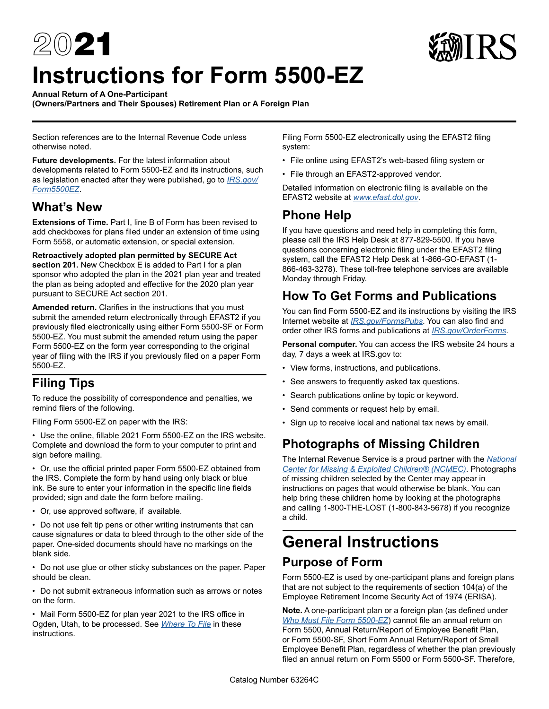# $20$ 21 **Instructions for Form 5500-EZ**



**(Owners/Partners and Their Spouses) Retirement Plan or A Foreign Plan** 

Section references are to the Internal Revenue Code unless otherwise noted.

**Future developments.** For the latest information about developments related to Form 5500-EZ and its instructions, such as legislation enacted after they were published, go to *[IRS.gov/](https://www.irs.gov/form5500ez) [Form5500EZ](https://www.irs.gov/form5500ez)*.

### **What's New**

**Extensions of Time.** Part I, line B of Form has been revised to add checkboxes for plans filed under an extension of time using Form 5558, or automatic extension, or special extension.

**Retroactively adopted plan permitted by SECURE Act section 201.** New Checkbox E is added to Part I for a plan sponsor who adopted the plan in the 2021 plan year and treated the plan as being adopted and effective for the 2020 plan year pursuant to SECURE Act section 201.

**Amended return.** Clarifies in the instructions that you must submit the amended return electronically through EFAST2 if you previously filed electronically using either Form 5500-SF or Form 5500-EZ. You must submit the amended return using the paper Form 5500-EZ on the form year corresponding to the original year of filing with the IRS if you previously filed on a paper Form 5500-EZ.

### **Filing Tips**

To reduce the possibility of correspondence and penalties, we remind filers of the following.

Filing Form 5500-EZ on paper with the IRS:

• Use the online, fillable 2021 Form 5500-EZ on the IRS website. Complete and download the form to your computer to print and sign before mailing.

• Or, use the official printed paper Form 5500-EZ obtained from the IRS. Complete the form by hand using only black or blue ink. Be sure to enter your information in the specific line fields provided; sign and date the form before mailing.

• Or, use approved software, if available.

• Do not use felt tip pens or other writing instruments that can cause signatures or data to bleed through to the other side of the paper. One-sided documents should have no markings on the blank side.

• Do not use glue or other sticky substances on the paper. Paper should be clean.

• Do not submit extraneous information such as arrows or notes on the form.

• Mail Form 5500-EZ for plan year 2021 to the IRS office in Ogden, Utah, to be processed. See *[Where To File](#page-2-0)* in these instructions.

Filing Form 5500-EZ electronically using the EFAST2 filing system:

- File online using EFAST2's web-based filing system or
- File through an EFAST2-approved vendor.

Detailed information on electronic filing is available on the EFAST2 website at *[www.efast.dol.gov](https://www.efast.dol.gov)*.

### **Phone Help**

If you have questions and need help in completing this form, please call the IRS Help Desk at 877-829-5500. If you have questions concerning electronic filing under the EFAST2 filing system, call the EFAST2 Help Desk at 1-866-GO-EFAST (1- 866-463-3278). These toll-free telephone services are available Monday through Friday.

### <span id="page-0-0"></span>**How To Get Forms and Publications**

You can find Form 5500-EZ and its instructions by visiting the IRS Internet website at *[IRS.gov/FormsPubs](https://www.irs.gov/formspubs)*. You can also find and order other IRS forms and publications at *[IRS.gov/OrderForms](https://www.irs.gov/orderforms)*.

**Personal computer.** You can access the IRS website 24 hours a day, 7 days a week at IRS.gov to:

- View forms, instructions, and publications.
- See answers to frequently asked tax questions.
- Search publications online by topic or keyword.
- Send comments or request help by email.
- Sign up to receive local and national tax news by email.

### **Photographs of Missing Children**

The Internal Revenue Service is a proud partner with the *[National](https://www.missingkids.com/home)  [Center for Missing & Exploited Children® \(NCMEC\)](https://www.missingkids.com/home)*. Photographs of missing children selected by the Center may appear in instructions on pages that would otherwise be blank. You can help bring these children home by looking at the photographs and calling 1-800-THE-LOST (1-800-843-5678) if you recognize a child.

# **General Instructions Purpose of Form**

Form 5500-EZ is used by one-participant plans and foreign plans that are not subject to the requirements of section 104(a) of the Employee Retirement Income Security Act of 1974 (ERISA).

**Note.** A one-participant plan or a foreign plan (as defined under *[Who Must File Form 5500-EZ](#page-1-0)*) cannot file an annual return on Form 5500, Annual Return/Report of Employee Benefit Plan, or Form 5500-SF, Short Form Annual Return/Report of Small Employee Benefit Plan, regardless of whether the plan previously filed an annual return on Form 5500 or Form 5500-SF. Therefore,

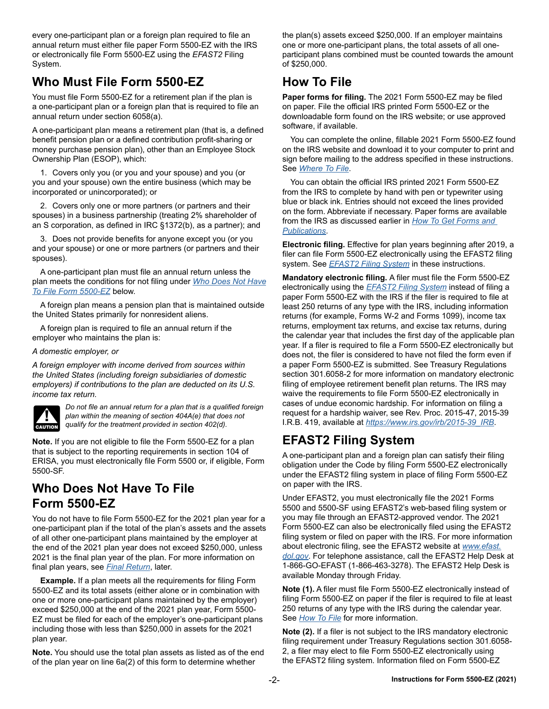every one-participant plan or a foreign plan required to file an annual return must either file paper Form 5500-EZ with the IRS or electronically file Form 5500-EZ using the *EFAST2* Filing System.

### <span id="page-1-0"></span>**Who Must File Form 5500-EZ**

You must file Form 5500-EZ for a retirement plan if the plan is a one-participant plan or a foreign plan that is required to file an annual return under section 6058(a).

A one-participant plan means a retirement plan (that is, a defined benefit pension plan or a defined contribution profit-sharing or money purchase pension plan), other than an Employee Stock Ownership Plan (ESOP), which:

1. Covers only you (or you and your spouse) and you (or you and your spouse) own the entire business (which may be incorporated or unincorporated); or

2. Covers only one or more partners (or partners and their spouses) in a business partnership (treating 2% shareholder of an S corporation, as defined in IRC §1372(b), as a partner); and

3. Does not provide benefits for anyone except you (or you and your spouse) or one or more partners (or partners and their spouses).

A one-participant plan must file an annual return unless the plan meets the conditions for not filing under *[Who Does Not Have](#page-1-1) [To File Form 5500-EZ](#page-1-1)* below.

A foreign plan means a pension plan that is maintained outside the United States primarily for nonresident aliens.

A foreign plan is required to file an annual return if the employer who maintains the plan is:

#### *A domestic employer, or*

*A foreign employer with income derived from sources within the United States (including foreign subsidiaries of domestic employers) if contributions to the plan are deducted on its U.S. income tax return.*



*Do not file an annual return for a plan that is a qualified foreign plan within the meaning of section 404A(e) that does not qualify for the treatment provided in section 402(d).*

**Note.** If you are not eligible to file the Form 5500-EZ for a plan that is subject to the reporting requirements in section 104 of ERISA, you must electronically file Form 5500 or, if eligible, Form 5500-SF.

### <span id="page-1-1"></span>**Who Does Not Have To File Form 5500-EZ**

You do not have to file Form 5500-EZ for the 2021 plan year for a one-participant plan if the total of the plan's assets and the assets of all other one-participant plans maintained by the employer at the end of the 2021 plan year does not exceed \$250,000, unless 2021 is the final plan year of the plan. For more information on final plan years, see *[Final Return](#page-3-0)*, later.

**Example.** If a plan meets all the requirements for filing Form 5500-EZ and its total assets (either alone or in combination with one or more one-participant plans maintained by the employer) exceed \$250,000 at the end of the 2021 plan year, Form 5500- EZ must be filed for each of the employer's one-participant plans including those with less than \$250,000 in assets for the 2021 plan year.

**Note.** You should use the total plan assets as listed as of the end of the plan year on line 6a(2) of this form to determine whether

the plan(s) assets exceed \$250,000. If an employer maintains one or more one-participant plans, the total assets of all oneparticipant plans combined must be counted towards the amount of \$250,000.

### <span id="page-1-3"></span>**How To File**

**Paper forms for filing.** The 2021 Form 5500-EZ may be filed on paper. File the official IRS printed Form 5500-EZ or the downloadable form found on the IRS website; or use approved software, if available.

You can complete the online, fillable 2021 Form 5500-EZ found on the IRS website and download it to your computer to print and sign before mailing to the address specified in these instructions. See *[Where To File](#page-2-0)*.

You can obtain the official IRS printed 2021 Form 5500-EZ from the IRS to complete by hand with pen or typewriter using blue or black ink. Entries should not exceed the lines provided on the form. Abbreviate if necessary. Paper forms are available from the IRS as discussed earlier in *[How To Get Forms and](#page-0-0)  [Publications](#page-0-0)*.

**Electronic filing.** Effective for plan years beginning after 2019, a filer can file Form 5500-EZ electronically using the EFAST2 filing system. See *[EFAST2 Filing System](#page-1-2)* in these instructions.

**Mandatory electronic filing.** A filer must file the Form 5500-EZ electronically using the *[EFAST2 Filing System](#page-1-2)* instead of filing a paper Form 5500-EZ with the IRS if the filer is required to file at least 250 returns of any type with the IRS, including information returns (for example, Forms W-2 and Forms 1099), income tax returns, employment tax returns, and excise tax returns, during the calendar year that includes the first day of the applicable plan year. If a filer is required to file a Form 5500-EZ electronically but does not, the filer is considered to have not filed the form even if a paper Form 5500-EZ is submitted. See Treasury Regulations section 301.6058-2 for more information on mandatory electronic filing of employee retirement benefit plan returns. The IRS may waive the requirements to file Form 5500-EZ electronically in cases of undue economic hardship. For information on filing a request for a hardship waiver, see Rev. Proc. 2015-47, 2015-39 I.R.B. 419, available at *[https://www.irs.gov/irb/2015-39\\_IRB](https://www.irs.gov/irb/2015-39_IRB)*.

### <span id="page-1-2"></span>**EFAST2 Filing System**

A one-participant plan and a foreign plan can satisfy their filing obligation under the Code by filing Form 5500-EZ electronically under the EFAST2 filing system in place of filing Form 5500-EZ on paper with the IRS.

Under EFAST2, you must electronically file the 2021 Forms 5500 and 5500-SF using EFAST2's web-based filing system or you may file through an EFAST2-approved vendor. The 2021 Form 5500-EZ can also be electronically filed using the EFAST2 filing system or filed on paper with the IRS. For more information about electronic filing, see the EFAST2 website at *[www.efast.](https://www.efast.dol.gov) [dol.gov](https://www.efast.dol.gov)*. For telephone assistance, call the EFAST2 Help Desk at 1-866-GO-EFAST (1-866-463-3278). The EFAST2 Help Desk is available Monday through Friday.

**Note (1).** A filer must file Form 5500-EZ electronically instead of filing Form 5500-EZ on paper if the filer is required to file at least 250 returns of any type with the IRS during the calendar year. See *[How To File](#page-1-3)* for more information.

**Note (2).** If a filer is not subject to the IRS mandatory electronic filing requirement under Treasury Regulations section 301.6058- 2, a filer may elect to file Form 5500-EZ electronically using the EFAST2 filing system. Information filed on Form 5500-EZ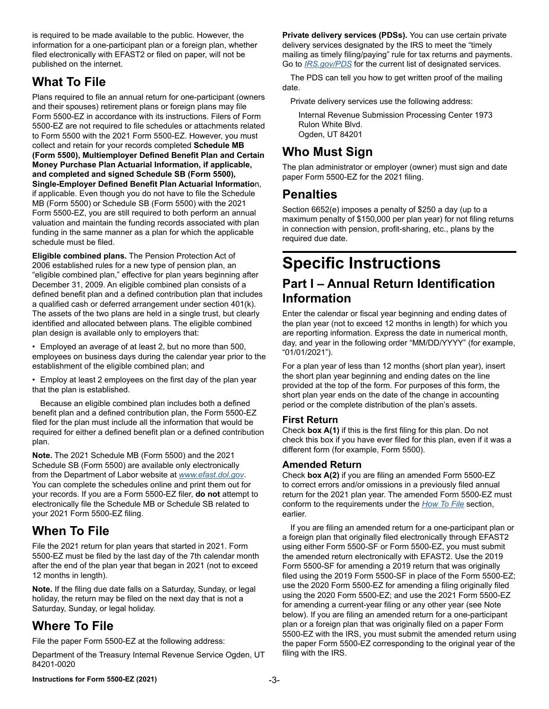is required to be made available to the public. However, the information for a one-participant plan or a foreign plan, whether filed electronically with EFAST2 or filed on paper, will not be published on the internet.

### **What To File**

Plans required to file an annual return for one-participant (owners and their spouses) retirement plans or foreign plans may file Form 5500-EZ in accordance with its instructions. Filers of Form 5500-EZ are not required to file schedules or attachments related to Form 5500 with the 2021 Form 5500-EZ. However, you must collect and retain for your records completed **Schedule MB (Form 5500), Multiemployer Defined Benefit Plan and Certain Money Purchase Plan Actuarial Information, if applicable, and completed and signed Schedule SB (Form 5500), Single-Employer Defined Benefit Plan Actuarial Informatio**n, if applicable. Even though you do not have to file the Schedule MB (Form 5500) or Schedule SB (Form 5500) with the 2021 Form 5500-EZ, you are still required to both perform an annual valuation and maintain the funding records associated with plan funding in the same manner as a plan for which the applicable schedule must be filed.

**Eligible combined plans.** The Pension Protection Act of 2006 established rules for a new type of pension plan, an "eligible combined plan," effective for plan years beginning after December 31, 2009. An eligible combined plan consists of a defined benefit plan and a defined contribution plan that includes a qualified cash or deferred arrangement under section 401(k). The assets of the two plans are held in a single trust, but clearly identified and allocated between plans. The eligible combined plan design is available only to employers that:

• Employed an average of at least 2, but no more than 500, employees on business days during the calendar year prior to the establishment of the eligible combined plan; and

• Employ at least 2 employees on the first day of the plan year that the plan is established.

Because an eligible combined plan includes both a defined benefit plan and a defined contribution plan, the Form 5500-EZ filed for the plan must include all the information that would be required for either a defined benefit plan or a defined contribution plan.

**Note.** The 2021 Schedule MB (Form 5500) and the 2021 Schedule SB (Form 5500) are available only electronically from the Department of Labor website at *[www.efast.dol.gov](https://www.efast.dol.gov)*. You can complete the schedules online and print them out for your records. If you are a Form 5500-EZ filer, **do not** attempt to electronically file the Schedule MB or Schedule SB related to your 2021 Form 5500-EZ filing.

### **When To File**

File the 2021 return for plan years that started in 2021. Form 5500-EZ must be filed by the last day of the 7th calendar month after the end of the plan year that began in 2021 (not to exceed 12 months in length).

**Note.** If the filing due date falls on a Saturday, Sunday, or legal holiday, the return may be filed on the next day that is not a Saturday, Sunday, or legal holiday.

### <span id="page-2-0"></span>**Where To File**

File the paper Form 5500-EZ at the following address:

Department of the Treasury Internal Revenue Service Ogden, UT 84201-0020

**Private delivery services (PDSs).** You can use certain private delivery services designated by the IRS to meet the "timely mailing as timely filing/paying" rule for tax returns and payments. Go to *[IRS.gov/PDS](https://www.irs.gov/pds)* for the current list of designated services.

The PDS can tell you how to get written proof of the mailing date.

Private delivery services use the following address:

Internal Revenue Submission Processing Center 1973 Rulon White Blvd. Ogden, UT 84201

### **Who Must Sign**

The plan administrator or employer (owner) must sign and date paper Form 5500-EZ for the 2021 filing.

### **Penalties**

Section 6652(e) imposes a penalty of \$250 a day (up to a maximum penalty of \$150,000 per plan year) for not filing returns in connection with pension, profit-sharing, etc., plans by the required due date.

## **Specific Instructions Part I – Annual Return Identification Information**

Enter the calendar or fiscal year beginning and ending dates of the plan year (not to exceed 12 months in length) for which you are reporting information. Express the date in numerical month, day, and year in the following order "MM/DD/YYYY" (for example, "01/01/2021").

For a plan year of less than 12 months (short plan year), insert the short plan year beginning and ending dates on the line provided at the top of the form. For purposes of this form, the short plan year ends on the date of the change in accounting period or the complete distribution of the plan's assets.

#### **First Return**

Check **box A(1)** if this is the first filing for this plan. Do not check this box if you have ever filed for this plan, even if it was a different form (for example, Form 5500).

#### **Amended Return**

Check **box A(2)** if you are filing an amended Form 5500-EZ to correct errors and/or omissions in a previously filed annual return for the 2021 plan year. The amended Form 5500-EZ must conform to the requirements under the *[How To File](#page-1-3)* section, earlier.

If you are filing an amended return for a one-participant plan or a foreign plan that originally filed electronically through EFAST2 using either Form 5500-SF or Form 5500-EZ, you must submit the amended return electronically with EFAST2. Use the 2019 Form 5500-SF for amending a 2019 return that was originally filed using the 2019 Form 5500-SF in place of the Form 5500-EZ; use the 2020 Form 5500-EZ for amending a filing originally filed using the 2020 Form 5500-EZ; and use the 2021 Form 5500-EZ for amending a current-year filing or any other year (see Note below). If you are filing an amended return for a one-participant plan or a foreign plan that was originally filed on a paper Form 5500-EZ with the IRS, you must submit the amended return using the paper Form 5500-EZ corresponding to the original year of the filing with the IRS.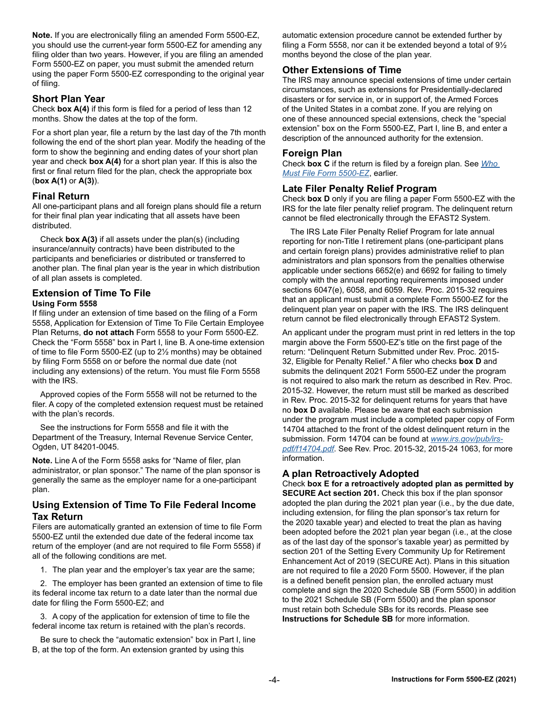**Note.** If you are electronically filing an amended Form 5500-EZ, you should use the current-year form 5500-EZ for amending any filing older than two years. However, if you are filing an amended Form 5500-EZ on paper, you must submit the amended return using the paper Form 5500-EZ corresponding to the original year of filing.

#### **Short Plan Year**

Check **box A(4)** if this form is filed for a period of less than 12 months. Show the dates at the top of the form.

For a short plan year, file a return by the last day of the 7th month following the end of the short plan year. Modify the heading of the form to show the beginning and ending dates of your short plan year and check **box A(4)** for a short plan year. If this is also the first or final return filed for the plan, check the appropriate box (**box A(1)** or **A(3)**).

#### <span id="page-3-0"></span>**Final Return**

All one-participant plans and all foreign plans should file a return for their final plan year indicating that all assets have been distributed.

Check **box A(3)** if all assets under the plan(s) (including insurance/annuity contracts) have been distributed to the participants and beneficiaries or distributed or transferred to another plan. The final plan year is the year in which distribution of all plan assets is completed.

#### **Extension of Time To File Using Form 5558**

If filing under an extension of time based on the filing of a Form 5558, Application for Extension of Time To File Certain Employee Plan Returns, **do not attach** Form 5558 to your Form 5500-EZ. Check the "Form 5558" box in Part I, line B. A one-time extension of time to file Form 5500-EZ (up to 2½ months) may be obtained by filing Form 5558 on or before the normal due date (not including any extensions) of the return. You must file Form 5558 with the IRS.

Approved copies of the Form 5558 will not be returned to the filer. A copy of the completed extension request must be retained with the plan's records.

See the instructions for Form 5558 and file it with the Department of the Treasury, Internal Revenue Service Center, Ogden, UT 84201-0045.

**Note.** Line A of the Form 5558 asks for "Name of filer, plan administrator, or plan sponsor." The name of the plan sponsor is generally the same as the employer name for a one-participant plan.

#### **Using Extension of Time To File Federal Income Tax Return**

Filers are automatically granted an extension of time to file Form 5500-EZ until the extended due date of the federal income tax return of the employer (and are not required to file Form 5558) if all of the following conditions are met.

1. The plan year and the employer's tax year are the same;

2. The employer has been granted an extension of time to file its federal income tax return to a date later than the normal due date for filing the Form 5500-EZ; and

3. A copy of the application for extension of time to file the federal income tax return is retained with the plan's records.

Be sure to check the "automatic extension" box in Part I, line B, at the top of the form. An extension granted by using this

automatic extension procedure cannot be extended further by filing a Form 5558, nor can it be extended beyond a total of 9½ months beyond the close of the plan year.

#### **Other Extensions of Time**

The IRS may announce special extensions of time under certain circumstances, such as extensions for Presidentially-declared disasters or for service in, or in support of, the Armed Forces of the United States in a combat zone. If you are relying on one of these announced special extensions, check the "special extension" box on the Form 5500-EZ, Part I, line B, and enter a description of the announced authority for the extension.

#### **Foreign Plan**

Check **box C** if the return is filed by a foreign plan. See *[Who](#page-1-0)  [Must File Form 5500-EZ](#page-1-0)*, earlier.

#### **Late Filer Penalty Relief Program**

Check **box D** only if you are filing a paper Form 5500-EZ with the IRS for the late filer penalty relief program. The delinquent return cannot be filed electronically through the EFAST2 System.

The IRS Late Filer Penalty Relief Program for late annual reporting for non-Title I retirement plans (one-participant plans and certain foreign plans) provides administrative relief to plan administrators and plan sponsors from the penalties otherwise applicable under sections 6652(e) and 6692 for failing to timely comply with the annual reporting requirements imposed under sections 6047(e), 6058, and 6059. Rev. Proc. 2015-32 requires that an applicant must submit a complete Form 5500-EZ for the delinquent plan year on paper with the IRS. The IRS delinquent return cannot be filed electronically through EFAST2 System.

An applicant under the program must print in red letters in the top margin above the Form 5500-EZ's title on the first page of the return: "Delinquent Return Submitted under Rev. Proc. 2015- 32, Eligible for Penalty Relief." A filer who checks **box D** and submits the delinquent 2021 Form 5500-EZ under the program is not required to also mark the return as described in Rev. Proc. 2015-32. However, the return must still be marked as described in Rev. Proc. 2015-32 for delinquent returns for years that have no **box D** available. Please be aware that each submission under the program must include a completed paper copy of Form 14704 attached to the front of the oldest delinquent return in the submission. Form 14704 can be found at *[www.irs.gov/pub/irs](https://www.irs.gov/pub/irs-pdf/f14704.pdf)[pdf/f14704.pdf](https://www.irs.gov/pub/irs-pdf/f14704.pdf)*. See Rev. Proc. 2015-32, 2015-24 1063, for more information.

#### **A plan Retroactively Adopted**

Check **box E for a retroactively adopted plan as permitted by SECURE Act section 201.** Check this box if the plan sponsor adopted the plan during the 2021 plan year (i.e., by the due date, including extension, for filing the plan sponsor's tax return for the 2020 taxable year) and elected to treat the plan as having been adopted before the 2021 plan year began (i.e., at the close as of the last day of the sponsor's taxable year) as permitted by section 201 of the Setting Every Community Up for Retirement Enhancement Act of 2019 (SECURE Act). Plans in this situation are not required to file a 2020 Form 5500. However, if the plan is a defined benefit pension plan, the enrolled actuary must complete and sign the 2020 Schedule SB (Form 5500) in addition to the 2021 Schedule SB (Form 5500) and the plan sponsor must retain both Schedule SBs for its records. Please see **Instructions for Schedule SB** for more information.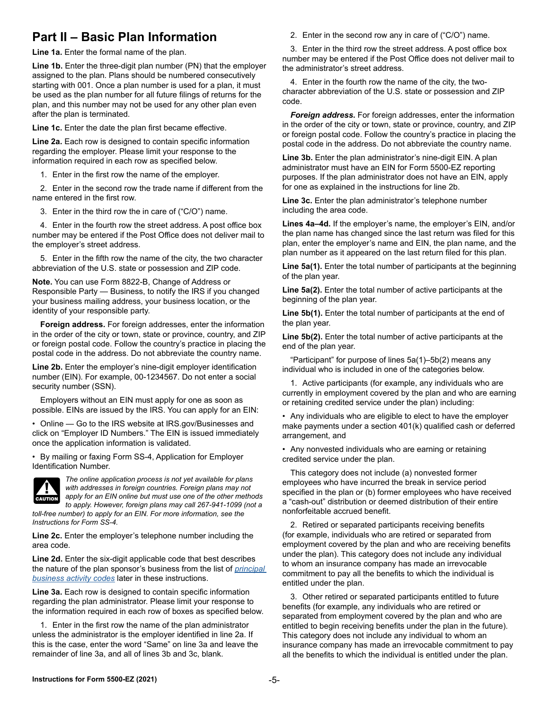### **Part II – Basic Plan Information**

**Line 1a.** Enter the formal name of the plan.

**Line 1b.** Enter the three-digit plan number (PN) that the employer assigned to the plan. Plans should be numbered consecutively starting with 001. Once a plan number is used for a plan, it must be used as the plan number for all future filings of returns for the plan, and this number may not be used for any other plan even after the plan is terminated.

**Line 1c.** Enter the date the plan first became effective.

**Line 2a.** Each row is designed to contain specific information regarding the employer. Please limit your response to the information required in each row as specified below.

1. Enter in the first row the name of the employer.

2. Enter in the second row the trade name if different from the name entered in the first row.

3. Enter in the third row the in care of ("C/O") name.

4. Enter in the fourth row the street address. A post office box number may be entered if the Post Office does not deliver mail to the employer's street address.

5. Enter in the fifth row the name of the city, the two character abbreviation of the U.S. state or possession and ZIP code.

**Note.** You can use Form 8822-B, Change of Address or Responsible Party — Business, to notify the IRS if you changed your business mailing address, your business location, or the identity of your responsible party.

**Foreign address.** For foreign addresses, enter the information in the order of the city or town, state or province, country, and ZIP or foreign postal code. Follow the country's practice in placing the postal code in the address. Do not abbreviate the country name.

**Line 2b.** Enter the employer's nine-digit employer identification number (EIN). For example, 00-1234567. Do not enter a social security number (SSN).

Employers without an EIN must apply for one as soon as possible. EINs are issued by the IRS. You can apply for an EIN:

• Online — Go to the IRS website at IRS.gov/Businesses and click on "Employer ID Numbers." The EIN is issued immediately once the application information is validated.

• By mailing or faxing Form SS-4, Application for Employer Identification Number.



*The online application process is not yet available for plans with addresses in foreign countries. Foreign plans may not apply for an EIN online but must use one of the other methods to apply. However, foreign plans may call 267-941-1099 (not a* 

*toll-free number) to apply for an EIN. For more information, see the Instructions for Form SS-4.*

**Line 2c.** Enter the employer's telephone number including the area code.

**Line 2d.** Enter the six-digit applicable code that best describes the nature of the plan sponsor's business from the list of *[principal](#page-7-0)  [business activity codes](#page-7-0)* later in these instructions.

**Line 3a.** Each row is designed to contain specific information regarding the plan administrator. Please limit your response to the information required in each row of boxes as specified below.

1. Enter in the first row the name of the plan administrator unless the administrator is the employer identified in line 2a. If this is the case, enter the word "Same" on line 3a and leave the remainder of line 3a, and all of lines 3b and 3c, blank.

2. Enter in the second row any in care of ("C/O") name.

3. Enter in the third row the street address. A post office box number may be entered if the Post Office does not deliver mail to the administrator's street address.

4. Enter in the fourth row the name of the city, the twocharacter abbreviation of the U.S. state or possession and ZIP code.

*Foreign address.* For foreign addresses, enter the information in the order of the city or town, state or province, country, and ZIP or foreign postal code. Follow the country's practice in placing the postal code in the address. Do not abbreviate the country name.

**Line 3b.** Enter the plan administrator's nine-digit EIN. A plan administrator must have an EIN for Form 5500-EZ reporting purposes. If the plan administrator does not have an EIN, apply for one as explained in the instructions for line 2b.

**Line 3c.** Enter the plan administrator's telephone number including the area code.

**Lines 4a–4d.** If the employer's name, the employer's EIN, and/or the plan name has changed since the last return was filed for this plan, enter the employer's name and EIN, the plan name, and the plan number as it appeared on the last return filed for this plan.

**Line 5a(1).** Enter the total number of participants at the beginning of the plan year.

**Line 5a(2).** Enter the total number of active participants at the beginning of the plan year.

**Line 5b(1).** Enter the total number of participants at the end of the plan year.

**Line 5b(2).** Enter the total number of active participants at the end of the plan year.

"Participant" for purpose of lines 5a(1)–5b(2) means any individual who is included in one of the categories below.

1. Active participants (for example, any individuals who are currently in employment covered by the plan and who are earning or retaining credited service under the plan) including:

• Any individuals who are eligible to elect to have the employer make payments under a section 401(k) qualified cash or deferred arrangement, and

• Any nonvested individuals who are earning or retaining credited service under the plan.

This category does not include (a) nonvested former employees who have incurred the break in service period specified in the plan or (b) former employees who have received a "cash-out" distribution or deemed distribution of their entire nonforfeitable accrued benefit.

2. Retired or separated participants receiving benefits (for example, individuals who are retired or separated from employment covered by the plan and who are receiving benefits under the plan). This category does not include any individual to whom an insurance company has made an irrevocable commitment to pay all the benefits to which the individual is entitled under the plan.

3. Other retired or separated participants entitled to future benefits (for example, any individuals who are retired or separated from employment covered by the plan and who are entitled to begin receiving benefits under the plan in the future). This category does not include any individual to whom an insurance company has made an irrevocable commitment to pay all the benefits to which the individual is entitled under the plan.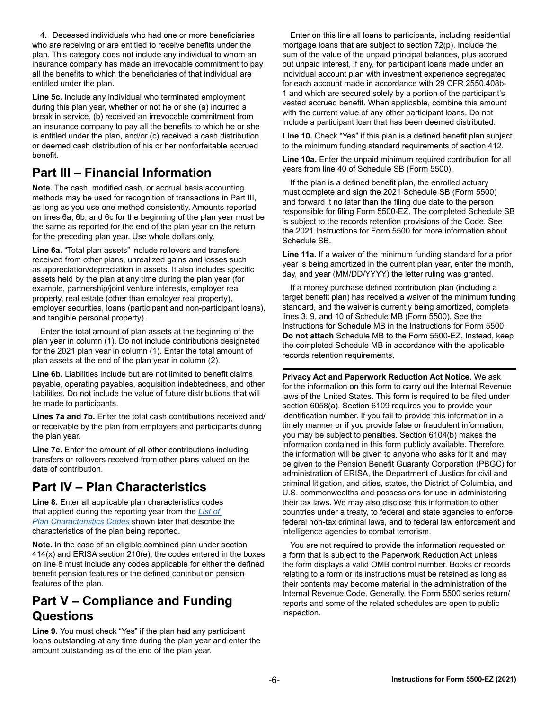4. Deceased individuals who had one or more beneficiaries who are receiving or are entitled to receive benefits under the plan. This category does not include any individual to whom an insurance company has made an irrevocable commitment to pay all the benefits to which the beneficiaries of that individual are entitled under the plan.

**Line 5c.** Include any individual who terminated employment during this plan year, whether or not he or she (a) incurred a break in service, (b) received an irrevocable commitment from an insurance company to pay all the benefits to which he or she is entitled under the plan, and/or (c) received a cash distribution or deemed cash distribution of his or her nonforfeitable accrued benefit.

### **Part III – Financial Information**

**Note.** The cash, modified cash, or accrual basis accounting methods may be used for recognition of transactions in Part III, as long as you use one method consistently. Amounts reported on lines 6a, 6b, and 6c for the beginning of the plan year must be the same as reported for the end of the plan year on the return for the preceding plan year. Use whole dollars only.

**Line 6a.** "Total plan assets" include rollovers and transfers received from other plans, unrealized gains and losses such as appreciation/depreciation in assets. It also includes specific assets held by the plan at any time during the plan year (for example, partnership/joint venture interests, employer real property, real estate (other than employer real property), employer securities, loans (participant and non-participant loans), and tangible personal property).

Enter the total amount of plan assets at the beginning of the plan year in column (1). Do not include contributions designated for the 2021 plan year in column (1). Enter the total amount of plan assets at the end of the plan year in column (2).

**Line 6b.** Liabilities include but are not limited to benefit claims payable, operating payables, acquisition indebtedness, and other liabilities. Do not include the value of future distributions that will be made to participants.

**Lines 7a and 7b.** Enter the total cash contributions received and/ or receivable by the plan from employers and participants during the plan year.

**Line 7c.** Enter the amount of all other contributions including transfers or rollovers received from other plans valued on the date of contribution.

### **Part IV – Plan Characteristics**

**Line 8.** Enter all applicable plan characteristics codes that applied during the reporting year from the *[List of](#page-6-0)  [Plan Characteristics Codes](#page-6-0)* shown later that describe the characteristics of the plan being reported.

**Note.** In the case of an eligible combined plan under section 414(x) and ERISA section 210(e), the codes entered in the boxes on line 8 must include any codes applicable for either the defined benefit pension features or the defined contribution pension features of the plan.

### **Part V – Compliance and Funding Questions**

**Line 9.** You must check "Yes" if the plan had any participant loans outstanding at any time during the plan year and enter the amount outstanding as of the end of the plan year.

Enter on this line all loans to participants, including residential mortgage loans that are subject to section 72(p). Include the sum of the value of the unpaid principal balances, plus accrued but unpaid interest, if any, for participant loans made under an individual account plan with investment experience segregated for each account made in accordance with 29 CFR 2550.408b-1 and which are secured solely by a portion of the participant's vested accrued benefit. When applicable, combine this amount with the current value of any other participant loans. Do not include a participant loan that has been deemed distributed.

**Line 10.** Check "Yes" if this plan is a defined benefit plan subject to the minimum funding standard requirements of section 412.

**Line 10a.** Enter the unpaid minimum required contribution for all years from line 40 of Schedule SB (Form 5500).

If the plan is a defined benefit plan, the enrolled actuary must complete and sign the 2021 Schedule SB (Form 5500) and forward it no later than the filing due date to the person responsible for filing Form 5500-EZ. The completed Schedule SB is subject to the records retention provisions of the Code. See the 2021 Instructions for Form 5500 for more information about Schedule SB.

**Line 11a.** If a waiver of the minimum funding standard for a prior year is being amortized in the current plan year, enter the month, day, and year (MM/DD/YYYY) the letter ruling was granted.

If a money purchase defined contribution plan (including a target benefit plan) has received a waiver of the minimum funding standard, and the waiver is currently being amortized, complete lines 3, 9, and 10 of Schedule MB (Form 5500). See the Instructions for Schedule MB in the Instructions for Form 5500. **Do not attach** Schedule MB to the Form 5500-EZ. Instead, keep the completed Schedule MB in accordance with the applicable records retention requirements.

**Privacy Act and Paperwork Reduction Act Notice.** We ask for the information on this form to carry out the Internal Revenue laws of the United States. This form is required to be filed under section 6058(a). Section 6109 requires you to provide your identification number. If you fail to provide this information in a timely manner or if you provide false or fraudulent information, you may be subject to penalties. Section 6104(b) makes the information contained in this form publicly available. Therefore, the information will be given to anyone who asks for it and may be given to the Pension Benefit Guaranty Corporation (PBGC) for administration of ERISA, the Department of Justice for civil and criminal litigation, and cities, states, the District of Columbia, and U.S. commonwealths and possessions for use in administering their tax laws. We may also disclose this information to other countries under a treaty, to federal and state agencies to enforce federal non-tax criminal laws, and to federal law enforcement and intelligence agencies to combat terrorism.

You are not required to provide the information requested on a form that is subject to the Paperwork Reduction Act unless the form displays a valid OMB control number. Books or records relating to a form or its instructions must be retained as long as their contents may become material in the administration of the Internal Revenue Code. Generally, the Form 5500 series return/ reports and some of the related schedules are open to public inspection.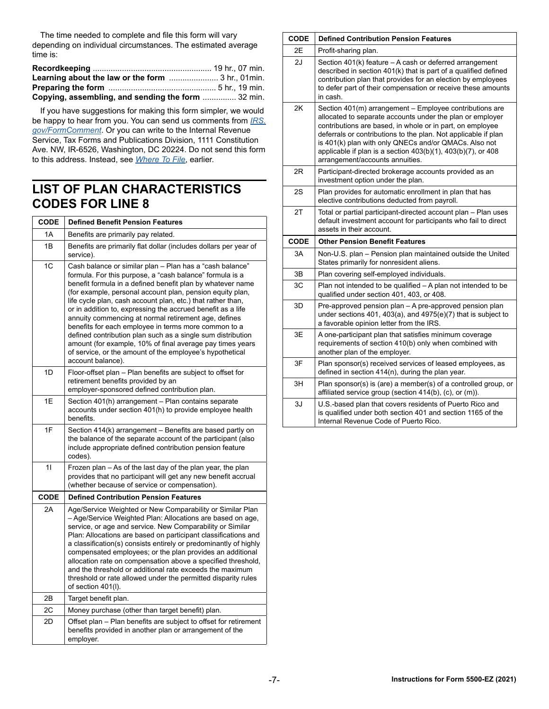The time needed to complete and file this form will vary depending on individual circumstances. The estimated average time is:

| Learning about the law or the form  3 hr., 01min.  |  |
|----------------------------------------------------|--|
|                                                    |  |
| Copying, assembling, and sending the form  32 min. |  |

If you have suggestions for making this form simpler, we would be happy to hear from you. You can send us comments from *[IRS.](https://www.irs.gov/uac/comment-on-tax-forms-and-publications) [gov/FormComment](https://www.irs.gov/uac/comment-on-tax-forms-and-publications)*. Or you can write to the Internal Revenue Service, Tax Forms and Publications Division, 1111 Constitution Ave. NW, IR-6526, Washington, DC 20224. Do not send this form to this address. Instead, see *[Where To File](#page-2-0)*, earlier.

### <span id="page-6-0"></span>**LIST OF PLAN CHARACTERISTICS CODES FOR LINE 8**

| <b>CODE</b> | <b>Defined Benefit Pension Features</b>                                                                                                                                                                                                                                                                                                                                                                                                                                                                                                                                                                                                                                                                    |  |  |  |  |  |  |  |  |
|-------------|------------------------------------------------------------------------------------------------------------------------------------------------------------------------------------------------------------------------------------------------------------------------------------------------------------------------------------------------------------------------------------------------------------------------------------------------------------------------------------------------------------------------------------------------------------------------------------------------------------------------------------------------------------------------------------------------------------|--|--|--|--|--|--|--|--|
| 1A          | Benefits are primarily pay related.                                                                                                                                                                                                                                                                                                                                                                                                                                                                                                                                                                                                                                                                        |  |  |  |  |  |  |  |  |
| 1B          | Benefits are primarily flat dollar (includes dollars per year of<br>service).                                                                                                                                                                                                                                                                                                                                                                                                                                                                                                                                                                                                                              |  |  |  |  |  |  |  |  |
| 1C          | Cash balance or similar plan - Plan has a "cash balance"<br>formula. For this purpose, a "cash balance" formula is a<br>benefit formula in a defined benefit plan by whatever name<br>(for example, personal account plan, pension equity plan,<br>life cycle plan, cash account plan, etc.) that rather than,<br>or in addition to, expressing the accrued benefit as a life<br>annuity commencing at normal retirement age, defines<br>benefits for each employee in terms more common to a<br>defined contribution plan such as a single sum distribution<br>amount (for example, 10% of final average pay times years<br>of service, or the amount of the employee's hypothetical<br>account balance). |  |  |  |  |  |  |  |  |
| 1D          | Floor-offset plan - Plan benefits are subject to offset for<br>retirement benefits provided by an<br>employer-sponsored defined contribution plan.                                                                                                                                                                                                                                                                                                                                                                                                                                                                                                                                                         |  |  |  |  |  |  |  |  |
| 1E          | Section 401(h) arrangement - Plan contains separate<br>accounts under section 401(h) to provide employee health<br>benefits.                                                                                                                                                                                                                                                                                                                                                                                                                                                                                                                                                                               |  |  |  |  |  |  |  |  |
| 1F          | Section 414(k) arrangement - Benefits are based partly on<br>the balance of the separate account of the participant (also<br>include appropriate defined contribution pension feature<br>codes).                                                                                                                                                                                                                                                                                                                                                                                                                                                                                                           |  |  |  |  |  |  |  |  |
| 11          | Frozen plan - As of the last day of the plan year, the plan<br>provides that no participant will get any new benefit accrual<br>(whether because of service or compensation).                                                                                                                                                                                                                                                                                                                                                                                                                                                                                                                              |  |  |  |  |  |  |  |  |
| <b>CODE</b> | <b>Defined Contribution Pension Features</b>                                                                                                                                                                                                                                                                                                                                                                                                                                                                                                                                                                                                                                                               |  |  |  |  |  |  |  |  |
| 2A          | Age/Service Weighted or New Comparability or Similar Plan<br>- Age/Service Weighted Plan: Allocations are based on age,<br>service, or age and service. New Comparability or Similar<br>Plan: Allocations are based on participant classifications and<br>a classification(s) consists entirely or predominantly of highly<br>compensated employees; or the plan provides an additional<br>allocation rate on compensation above a specified threshold,<br>and the threshold or additional rate exceeds the maximum<br>threshold or rate allowed under the permitted disparity rules<br>of section 401(I).                                                                                                 |  |  |  |  |  |  |  |  |
| 2B          | Target benefit plan.                                                                                                                                                                                                                                                                                                                                                                                                                                                                                                                                                                                                                                                                                       |  |  |  |  |  |  |  |  |
| 2C          | Money purchase (other than target benefit) plan.                                                                                                                                                                                                                                                                                                                                                                                                                                                                                                                                                                                                                                                           |  |  |  |  |  |  |  |  |
| 2D          | Offset plan - Plan benefits are subject to offset for retirement<br>benefits provided in another plan or arrangement of the<br>employer.                                                                                                                                                                                                                                                                                                                                                                                                                                                                                                                                                                   |  |  |  |  |  |  |  |  |

| <b>CODE</b> | <b>Defined Contribution Pension Features</b>                                                                                                                                                                                                                                                                                                                                                                            |
|-------------|-------------------------------------------------------------------------------------------------------------------------------------------------------------------------------------------------------------------------------------------------------------------------------------------------------------------------------------------------------------------------------------------------------------------------|
| 2E          | Profit-sharing plan.                                                                                                                                                                                                                                                                                                                                                                                                    |
| 2J          | Section 401(k) feature - A cash or deferred arrangement<br>described in section 401(k) that is part of a qualified defined<br>contribution plan that provides for an election by employees<br>to defer part of their compensation or receive these amounts<br>in cash.                                                                                                                                                  |
| 2K          | Section 401(m) arrangement - Employee contributions are<br>allocated to separate accounts under the plan or employer<br>contributions are based, in whole or in part, on employee<br>deferrals or contributions to the plan. Not applicable if plan<br>is 401(k) plan with only QNECs and/or QMACs. Also not<br>applicable if plan is a section $403(b)(1)$ , $403(b)(7)$ , or $408$<br>arrangement/accounts annuities. |
| 2R          | Participant-directed brokerage accounts provided as an<br>investment option under the plan.                                                                                                                                                                                                                                                                                                                             |
| 2S          | Plan provides for automatic enrollment in plan that has<br>elective contributions deducted from payroll.                                                                                                                                                                                                                                                                                                                |
| 2T          | Total or partial participant-directed account plan - Plan uses<br>default investment account for participants who fail to direct<br>assets in their account.                                                                                                                                                                                                                                                            |
|             |                                                                                                                                                                                                                                                                                                                                                                                                                         |
| <b>CODE</b> | <b>Other Pension Benefit Features</b>                                                                                                                                                                                                                                                                                                                                                                                   |
| 3A          | Non-U.S. plan - Pension plan maintained outside the United<br>States primarily for nonresident aliens.                                                                                                                                                                                                                                                                                                                  |
| 3B          | Plan covering self-employed individuals.                                                                                                                                                                                                                                                                                                                                                                                |
| 3C          | Plan not intended to be qualified - A plan not intended to be<br>qualified under section 401, 403, or 408.                                                                                                                                                                                                                                                                                                              |
| 3D          | Pre-approved pension plan - A pre-approved pension plan<br>under sections 401, 403(a), and 4975(e)(7) that is subject to<br>a favorable opinion letter from the IRS.                                                                                                                                                                                                                                                    |
| 3E          | A one-participant plan that satisfies minimum coverage<br>requirements of section 410(b) only when combined with<br>another plan of the employer.                                                                                                                                                                                                                                                                       |
| 3F          | Plan sponsor(s) received services of leased employees, as<br>defined in section 414(n), during the plan year.                                                                                                                                                                                                                                                                                                           |
| 3H          | Plan sponsor(s) is (are) a member(s) of a controlled group, or<br>affiliated service group (section 414(b), (c), or (m)).                                                                                                                                                                                                                                                                                               |

 $\Gamma$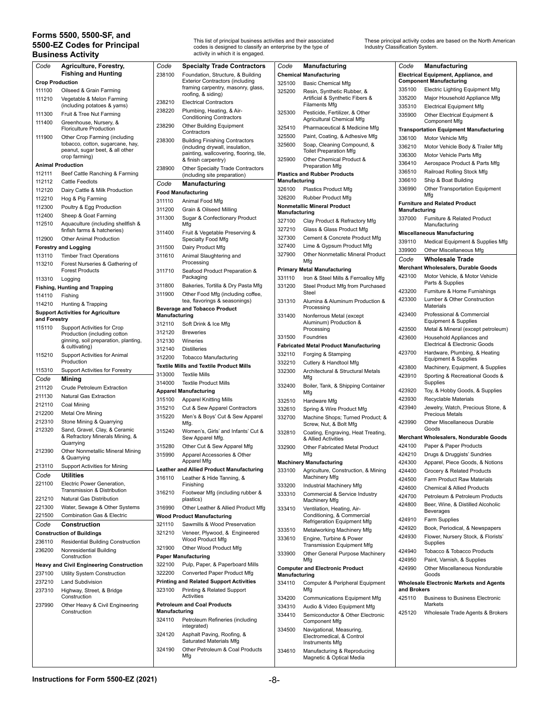#### <span id="page-7-0"></span>**Forms 5500, 5500-SF, and 5500-EZ Codes for Principal Business Activity**

This list of principal business activities and their associated codes is designed to classify an enterprise by the type of activity in which it is engaged.

These principal activity codes are based on the North American Industry Classification System.

| Code                   | Agriculture, Forestry,                                               | Code          | <b>Specialty Trade Contractors</b>             | Code          | Manufacturing                                 | Code          | <b>Manufacturing</b>                           |
|------------------------|----------------------------------------------------------------------|---------------|------------------------------------------------|---------------|-----------------------------------------------|---------------|------------------------------------------------|
|                        | <b>Fishing and Hunting</b>                                           | 238100        | Foundation, Structure, & Building              |               | <b>Chemical Manufacturing</b>                 |               | Electrical Equipment, Appliance, and           |
| <b>Crop Production</b> |                                                                      |               | <b>Exterior Contractors (including</b>         | 325100        | <b>Basic Chemical Mfg</b>                     |               | <b>Component Manufacturing</b>                 |
| 111100                 | Oilseed & Grain Farming                                              |               | framing carpentry, masonry, glass,             | 325200        | Resin, Synthetic Rubber, &                    | 335100        | <b>Electric Lighting Equipment Mfg</b>         |
| 111210                 | Vegetable & Melon Farming                                            |               | roofing, & siding)                             |               | Artificial & Synthetic Fibers &               | 335200        | Major Household Appliance Mfg                  |
|                        | (including potatoes & yams)                                          | 238210        | <b>Electrical Contractors</b>                  |               | <b>Filaments Mfg</b>                          | 335310        | <b>Electrical Equipment Mfg</b>                |
| 111300                 | Fruit & Tree Nut Farming                                             | 238220        | Plumbing, Heating, & Air-                      | 325300        | Pesticide, Fertilizer, & Other                |               |                                                |
|                        |                                                                      |               | <b>Conditioning Contractors</b>                |               | Agricultural Chemical Mfg                     | 335900        | Other Electrical Equipment &                   |
| 111400                 | Greenhouse, Nursery, &                                               | 238290        | <b>Other Building Equipment</b>                | 325410        | Pharmaceutical & Medicine Mfg                 |               | <b>Component Mfg</b>                           |
|                        | <b>Floriculture Production</b>                                       |               | Contractors                                    |               |                                               |               | <b>Transportation Equipment Manufacturing</b>  |
| 111900                 | Other Crop Farming (including                                        | 238300        | <b>Building Finishing Contractors</b>          | 325500        | Paint, Coating, & Adhesive Mfg                | 336100        | Motor Vehicle Mfg                              |
|                        | tobacco, cotton, sugarcane, hay,                                     |               | (including drywall, insulation,                | 325600        | Soap, Cleaning Compound, &                    | 336210        | Motor Vehicle Body & Trailer Mfg               |
|                        | peanut, sugar beet, & all other<br>crop farming)                     |               | painting, wallcovering, flooring, tile,        |               | <b>Toilet Preparation Mfg</b>                 | 336300        | Motor Vehicle Parts Mfg                        |
|                        |                                                                      |               | & finish carpentry)                            | 325900        | Other Chemical Product &                      | 336410        | Aerospace Product & Parts Mfg                  |
|                        | <b>Animal Production</b>                                             | 238900        | Other Specialty Trade Contractors              |               | Preparation Mfg                               |               |                                                |
| 112111                 | Beef Cattle Ranching & Farming                                       |               | (including site preparation)                   |               | <b>Plastics and Rubber Products</b>           | 336510        | Railroad Rolling Stock Mfg                     |
| 112112                 | <b>Cattle Feedlots</b>                                               | Code          | <b>Manufacturing</b>                           | Manufacturing |                                               | 336610        | Ship & Boat Building                           |
| 112120                 | Dairy Cattle & Milk Production                                       |               | <b>Food Manufacturing</b>                      | 326100        | <b>Plastics Product Mfg</b>                   | 336990        | Other Transportation Equipment                 |
| 112210                 | Hog & Pig Farming                                                    |               |                                                | 326200        | <b>Rubber Product Mfg</b>                     |               | Mfg                                            |
| 112300                 | Poultry & Egg Production                                             | 311110        | Animal Food Mfg                                |               | <b>Nonmetallic Mineral Product</b>            |               | <b>Furniture and Related Product</b>           |
|                        |                                                                      | 311200        | Grain & Oilseed Milling                        | Manufacturing |                                               | Manufacturing |                                                |
| 112400                 | Sheep & Goat Farming                                                 | 311300        | Sugar & Confectionary Product                  | 327100        | Clay Product & Refractory Mfg                 | 337000        | Furniture & Related Product                    |
| 112510                 | Aquaculture (including shellfish &                                   |               | Mfg                                            | 327210        | Glass & Glass Product Mfg                     |               | Manufacturing                                  |
|                        | finfish farms & hatcheries)                                          | 311400        | Fruit & Vegetable Preserving &                 | 327300        |                                               |               | <b>Miscellaneous Manufacturing</b>             |
| 112900                 | <b>Other Animal Production</b>                                       |               | Specialty Food Mfg                             |               | Cement & Concrete Product Mfg                 | 339110        | Medical Equipment & Supplies Mfg               |
|                        | <b>Forestry and Logging</b>                                          | 311500        | Dairy Product Mfg                              | 327400        | Lime & Gypsum Product Mfg                     | 339900        | Other Miscellaneous Mfg                        |
| 113110                 | <b>Timber Tract Operations</b>                                       | 311610        | Animal Slaughtering and                        | 327900        | Other Nonmetallic Mineral Product             | Code          | <b>Wholesale Trade</b>                         |
| 113210                 | Forest Nurseries & Gathering of                                      |               | Processing                                     |               | Mfg                                           |               |                                                |
|                        | <b>Forest Products</b>                                               | 311710        | Seafood Product Preparation &                  |               | <b>Primary Metal Manufacturing</b>            |               | Merchant Wholesalers, Durable Goods            |
| 113310                 | Logging                                                              |               | Packaging                                      | 331110        | Iron & Steel Mills & Ferroalloy Mfg           | 423100        | Motor Vehicle, & Motor Vehicle                 |
|                        | <b>Fishing, Hunting and Trapping</b>                                 | 311800        | Bakeries, Tortilla & Dry Pasta Mfg             | 331200        | Steel Product Mfg from Purchased              |               | Parts & Supplies                               |
| 114110                 | Fishing                                                              | 311900        | Other Food Mfg (including coffee,              |               | <b>Steel</b>                                  | 423200        | Furniture & Home Furnishings                   |
|                        |                                                                      |               | tea, flavorings & seasonings)                  | 331310        | Alumina & Aluminum Production &               | 423300        | Lumber & Other Construction                    |
| 114210                 | Hunting & Trapping                                                   |               | <b>Beverage and Tobacco Product</b>            |               | Processing                                    |               | Materials                                      |
|                        | <b>Support Activities for Agriculture</b>                            | Manufacturing |                                                | 331400        | Nonferrous Metal (except                      | 423400        | Professional & Commercial                      |
| and Forestry           |                                                                      | 312110        | Soft Drink & Ice Mfg                           |               | Aluminum) Production &                        |               | Equipment & Supplies                           |
| 115110                 | <b>Support Activities for Crop</b>                                   | 312120        | <b>Breweries</b>                               |               | Processing                                    | 423500        | Metal & Mineral (except petroleum)             |
|                        | Production (including cotton<br>ginning, soil preparation, planting, | 312130        | Wineries                                       | 331500        | Foundries                                     | 423600        | Household Appliances and                       |
|                        | & cultivating)                                                       |               |                                                |               | <b>Fabricated Metal Product Manufacturing</b> |               | Electrical & Electronic Goods                  |
| 115210                 | <b>Support Activities for Animal</b>                                 | 312140        | <b>Distilleries</b>                            | 332110        | Forging & Stamping                            | 423700        | Hardware, Plumbing, & Heating                  |
|                        | Production                                                           | 312200        | <b>Tobacco Manufacturing</b>                   | 332210        | Cutlery & Handtool Mfg                        |               | Equipment & Supplies                           |
| 115310                 | <b>Support Activities for Forestry</b>                               |               | <b>Textile Mills and Textile Product Mills</b> | 332300        | Architectural & Structural Metals             | 423800        | Machinery, Equipment, & Supplies               |
|                        |                                                                      | 313000        | <b>Textile Mills</b>                           |               | Mfg                                           | 423910        | Sporting & Recreational Goods &                |
| Code                   | Mining                                                               | 314000        | <b>Textile Product Mills</b>                   | 332400        | Boiler, Tank, & Shipping Container            |               | Supplies                                       |
| 211120                 | <b>Crude Petroleum Extraction</b>                                    |               | <b>Apparel Manufacturing</b>                   |               | Mfg                                           | 423920        | Toy, & Hobby Goods, & Supplies                 |
| 211130                 | <b>Natural Gas Extraction</b>                                        | 315100        | <b>Apparel Knitting Mills</b>                  |               |                                               | 423930        | Recyclable Materials                           |
| 212110                 | Coal Mining                                                          |               |                                                | 332510        | Hardware Mfg                                  | 423940        | Jewelry, Watch, Precious Stone, &              |
| 212200                 | Metal Ore Mining                                                     | 315210        | Cut & Sew Apparel Contractors                  | 332610        | Spring & Wire Product Mfg                     |               | <b>Precious Metals</b>                         |
| 212310                 | Stone Mining & Quarrying                                             | 315220        | Men's & Boys' Cut & Sew Apparel                | 332700        | Machine Shops; Turned Product; &              | 423990        | Other Miscellaneous Durable                    |
| 212320                 | Sand, Gravel, Clay, & Ceramic                                        |               | Mfg.                                           |               | Screw, Nut, & Bolt Mfg                        |               | Goods                                          |
|                        | & Refractory Minerals Mining, &                                      | 315240        | Women's, Girls' and Infants' Cut &             | 332810        | Coating, Engraving, Heat Treating,            |               |                                                |
|                        | Quarrying                                                            |               | Sew Apparel Mfg.                               |               | & Allied Activities                           |               | Merchant Wholesalers, Nondurable Goods         |
| 212390                 | Other Nonmetallic Mineral Mining                                     | 315280        | Other Cut & Sew Apparel Mfg                    | 332900        | Other Fabricated Metal Product                | 424100        | Paper & Paper Products                         |
|                        | & Quarrying                                                          | 315990        | Apparel Accessories & Other                    |               | Mfg                                           | 424210        | Drugs & Druggists' Sundries                    |
| 213110                 | <b>Support Activities for Mining</b>                                 |               | Apparel Mfg                                    |               | <b>Machinery Manufacturing</b>                | 424300        | Apparel, Piece Goods, & Notions                |
|                        |                                                                      |               | Leather and Allied Product Manufacturing       | 333100        | Agriculture, Construction, & Mining           | 424400        | Grocery & Related Products                     |
| Code                   | Utilities                                                            | 316110        | Leather & Hide Tanning, &                      |               | Machinery Mfg                                 | 424500        | Farm Product Raw Materials                     |
| 221100                 | Electric Power Generation,                                           |               | Finishing                                      | 333200        | Industrial Machinery Mfg                      | 424600        | <b>Chemical &amp; Allied Products</b>          |
|                        | Transmission & Distribution                                          | 316210        | Footwear Mfg (including rubber &               | 333310        | Commercial & Service Industry                 | 424700        | Petroleum & Petroleum Products                 |
| 221210                 | Natural Gas Distribution                                             |               | plastics)                                      |               | Machinery Mfg                                 | 424800        | Beer, Wine, & Distilled Alcoholic              |
| 221300                 | Water, Sewage & Other Systems                                        | 316990        | Other Leather & Allied Product Mfg             | 333410        | Ventilation, Heating, Air-                    |               | <b>Beverages</b>                               |
| 221500                 | <b>Combination Gas &amp; Electric</b>                                |               | <b>Wood Product Manufacturing</b>              |               | Conditioning, & Commercial                    |               |                                                |
| Code                   | Construction                                                         | 321110        | Sawmills & Wood Preservation                   |               | Refrigeration Equipment Mfg                   | 424910        | Farm Supplies                                  |
|                        | <b>Construction of Buildings</b>                                     | 321210        | Veneer, Plywood, & Engineered                  | 333510        | Metalworking Machinery Mfg                    | 424920        | Book, Periodical, & Newspapers                 |
|                        |                                                                      |               | Wood Product Mfg                               | 333610        | Engine, Turbine & Power                       | 424930        | Flower, Nursery Stock, & Florists'             |
| 236110                 | Residential Building Construction                                    | 321900        | Other Wood Product Mfg                         |               | Transmission Equipment Mfg                    |               | Supplies                                       |
| 236200                 | Nonresidential Building                                              |               | <b>Paper Manufacturing</b>                     | 333900        | Other General Purpose Machinery               | 424940        | Tobacco & Tobacco Products                     |
|                        | Construction                                                         |               |                                                |               | Mfg                                           | 424950        | Paint, Varnish, & Supplies                     |
|                        | <b>Heavy and Civil Engineering Construction</b>                      | 322100        | Pulp, Paper, & Paperboard Mills                |               | <b>Computer and Electronic Product</b>        | 424990        | Other Miscellaneous Nondurable                 |
| 237100                 | Utility System Construction                                          | 322200        | Converted Paper Product Mfg                    | Manufacturing |                                               |               | Goods                                          |
| 237210                 | <b>Land Subdivision</b>                                              |               | <b>Printing and Related Support Activities</b> | 334110        | Computer & Peripheral Equipment               |               | <b>Wholesale Electronic Markets and Agents</b> |
| 237310                 | Highway, Street, & Bridge                                            | 323100        | Printing & Related Support                     |               | Mfg                                           | and Brokers   |                                                |
|                        | Construction                                                         |               | Activities                                     | 334200        | <b>Communications Equipment Mfg</b>           | 425110        | <b>Business to Business Electronic</b>         |
| 237990                 | Other Heavy & Civil Engineering                                      |               | <b>Petroleum and Coal Products</b>             | 334310        | Audio & Video Equipment Mfg                   |               | Markets                                        |
|                        | Construction                                                         | Manufacturing |                                                | 334410        | Semiconductor & Other Electronic              | 425120        | Wholesale Trade Agents & Brokers               |
|                        |                                                                      | 324110        | Petroleum Refineries (including<br>integrated) | 334500        | Component Mfg<br>Navigational, Measuring,     |               |                                                |
|                        |                                                                      | 324120        | Asphalt Paving, Roofing, &                     |               | Electromedical, & Control                     |               |                                                |
|                        |                                                                      |               | Saturated Materials Mfg                        |               | Instruments Mfg                               |               |                                                |
|                        |                                                                      | 324190        | Other Petroleum & Coal Products                | 334610        | Manufacturing & Reproducing                   |               |                                                |
|                        |                                                                      |               | Mfg                                            |               | Magnetic & Optical Media                      |               |                                                |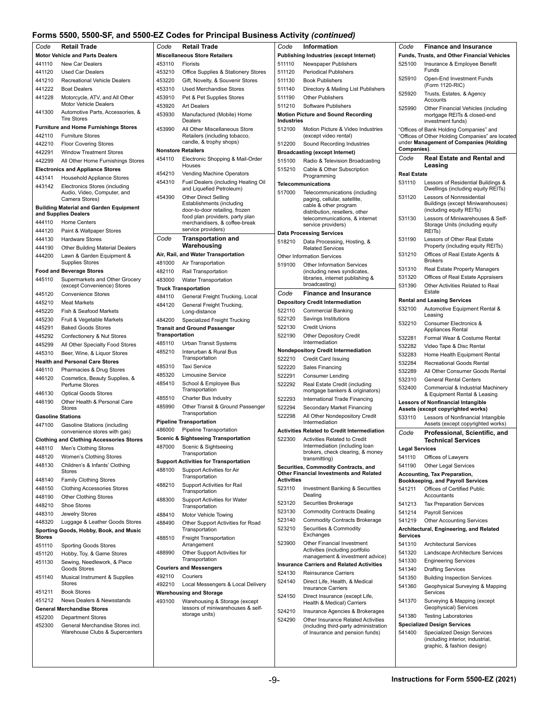#### **Forms 5500, 5500-SF, and 5500-EZ Codes for Principal Business Activity** *(continued)*

|                                                                    | Villio Jour, Jour-Off, and Jour-LE Outed for Finitipal Dublited Attivity (Continued) |                |                                                                    |                   |                                                                      |
|--------------------------------------------------------------------|--------------------------------------------------------------------------------------|----------------|--------------------------------------------------------------------|-------------------|----------------------------------------------------------------------|
| Code                                                               | <b>Retail Trade</b>                                                                  | Code           | <b>Retail Trade</b>                                                | Code              | <b>Information</b>                                                   |
|                                                                    | <b>Motor Vehicle and Parts Dealers</b>                                               |                | <b>Miscellaneous Store Retailers</b>                               |                   | <b>Publishing Industries (except Internet)</b>                       |
| 441110                                                             | New Car Dealers                                                                      | 453110         | <b>Florists</b>                                                    | 511110            | Newspaper Publishers                                                 |
| 441120                                                             | <b>Used Car Dealers</b>                                                              | 453210         | Office Supplies & Stationery Stores                                | 511120            | <b>Periodical Publishers</b>                                         |
| 441210                                                             | Recreational Vehicle Dealers                                                         | 453220         | Gift, Novelty, & Souvenir Stores                                   | 511130            | <b>Book Publishers</b>                                               |
| 441222                                                             | <b>Boat Dealers</b>                                                                  | 453310         | <b>Used Merchandise Stores</b>                                     | 511140            | Directory & Mailing List Publish                                     |
| 441228                                                             | Motorcycle, ATV, and All Other                                                       | 453910         | Pet & Pet Supplies Stores                                          | 511190            | <b>Other Publishers</b>                                              |
|                                                                    | Motor Vehicle Dealers                                                                | 453920         | Art Dealers                                                        | 511210            | Software Publishers                                                  |
| 441300                                                             | Automotive Parts, Accessories, &<br><b>Tire Stores</b>                               | 453930         | Manufactured (Mobile) Home                                         |                   | <b>Motion Picture and Sound Recording</b>                            |
|                                                                    | <b>Furniture and Home Furnishings Stores</b>                                         |                | Dealers                                                            | <b>Industries</b> |                                                                      |
| 442110                                                             | <b>Furniture Stores</b>                                                              | 453990         | All Other Miscellaneous Store<br>Retailers (including tobacco,     | 512100            | Motion Picture & Video Industrie<br>(except video rental)            |
| 442210                                                             | <b>Floor Covering Stores</b>                                                         |                | candle, & trophy shops)                                            | 512200            | Sound Recording Industries                                           |
| 442291                                                             | <b>Window Treatment Stores</b>                                                       |                | <b>Nonstore Retailers</b>                                          |                   | <b>Broadcasting (except Internet)</b>                                |
| 442299                                                             | All Other Home Furnishings Stores                                                    | 454110         | Electronic Shopping & Mail-Order                                   | 515100            | Radio & Television Broadcastin                                       |
|                                                                    | <b>Electronics and Appliance Stores</b>                                              |                | Houses                                                             | 515210            | Cable & Other Subscription                                           |
| 443141                                                             | Household Appliance Stores                                                           | 454210         | Vending Machine Operators                                          |                   | Programming                                                          |
| 443142                                                             | Electronics Stores (including                                                        | 454310         | Fuel Dealers (including Heating Oil<br>and Liquefied Petroleum)    |                   | Telecommunications                                                   |
|                                                                    | Audio, Video, Computer, and                                                          | 454390         | <b>Other Direct Selling</b>                                        | 517000            | Telecommunications (including                                        |
|                                                                    | Camera Stores)                                                                       |                | Establishments (including                                          |                   | paging, cellular, satellite,<br>cable & other program                |
|                                                                    | <b>Building Material and Garden Equipment</b><br>and Supplies Dealers                |                | door-to-door retailing, frozen                                     |                   | distribution, resellers, other                                       |
| 444110                                                             | <b>Home Centers</b>                                                                  |                | food plan providers, party plan<br>merchandisers, & coffee-break   |                   | telecommunications, & internet                                       |
| 444120                                                             | Paint & Wallpaper Stores                                                             |                | service providers)                                                 |                   | service providers)                                                   |
| 444130                                                             | <b>Hardware Stores</b>                                                               | Code           | <b>Transportation and</b>                                          |                   | <b>Data Processing Services</b>                                      |
| 444190                                                             | <b>Other Building Material Dealers</b>                                               |                | Warehousing                                                        | 518210            | Data Processing, Hosting, &<br><b>Related Services</b>               |
| 444200                                                             | Lawn & Garden Equipment &                                                            |                | Air, Rail, and Water Transportation                                |                   | <b>Other Information Services</b>                                    |
|                                                                    | <b>Supplies Stores</b>                                                               | 481000         | Air Transportation                                                 | 519100            | <b>Other Information Services</b>                                    |
|                                                                    | <b>Food and Beverage Stores</b>                                                      | 482110         | Rail Transportation                                                |                   | (including news syndicates,                                          |
| 445110                                                             | Supermarkets and Other Grocery                                                       | 483000         | <b>Water Transportation</b>                                        |                   | libraries, internet publishing &                                     |
|                                                                    | (except Convenience) Stores                                                          |                | <b>Truck Transportation</b>                                        |                   | broadcasting)                                                        |
| 445120                                                             | <b>Convenience Stores</b>                                                            | 484110         | General Freight Trucking, Local                                    | Code              | <b>Finance and Insurance</b>                                         |
| 445210                                                             | <b>Meat Markets</b>                                                                  | 484120         | General Freight Trucking,                                          |                   | <b>Depository Credit Intermediation</b>                              |
| 445220                                                             | Fish & Seafood Markets                                                               |                | Long-distance                                                      | 522110            | <b>Commercial Banking</b>                                            |
| 445230                                                             | Fruit & Vegetable Markets                                                            | 484200         | Specialized Freight Trucking                                       | 522120            | Savings Institutions                                                 |
| 445291                                                             | <b>Baked Goods Stores</b>                                                            |                | <b>Transit and Ground Passenger</b>                                | 522130            | <b>Credit Unions</b>                                                 |
| 445292                                                             | Confectionery & Nut Stores                                                           | Transportation |                                                                    | 522190            | <b>Other Depository Credit</b>                                       |
| 445299                                                             | All Other Specialty Food Stores                                                      | 485110         | Urban Transit Systems                                              |                   | Intermediation                                                       |
| 445310                                                             | Beer, Wine, & Liquor Stores                                                          | 485210         | Interurban & Rural Bus                                             |                   | <b>Nondepository Credit Intermediation</b>                           |
|                                                                    | <b>Health and Personal Care Stores</b>                                               | 485310         | Transportation<br><b>Taxi Service</b>                              | 522210            | Credit Card Issuing                                                  |
| 446110                                                             | Pharmacies & Drug Stores                                                             | 485320         | Limousine Service                                                  | 522220            | Sales Financing                                                      |
| 446120                                                             | Cosmetics, Beauty Supplies, &                                                        | 485410         | School & Employee Bus                                              | 522291            | <b>Consumer Lending</b>                                              |
|                                                                    | Perfume Stores                                                                       |                | Transportation                                                     | 522292            | Real Estate Credit (including<br>mortgage bankers & originators      |
| 446130                                                             | <b>Optical Goods Stores</b>                                                          | 485510         | Charter Bus Industry                                               | 522293            | International Trade Financing                                        |
| 446190                                                             | Other Health & Personal Care<br><b>Stores</b>                                        | 485990         | Other Transit & Ground Passenger                                   | 522294            | Secondary Market Financing                                           |
|                                                                    | <b>Gasoline Stations</b>                                                             |                | Transportation                                                     | 522298            | All Other Nondepository Credit                                       |
| 447100                                                             | Gasoline Stations (including                                                         |                | <b>Pipeline Transportation</b>                                     |                   | Intermediation                                                       |
|                                                                    | convenience stores with gas)                                                         | 486000         | <b>Pipeline Transportation</b>                                     |                   | <b>Activities Related to Credit Intermediati</b>                     |
|                                                                    | Clothing and Clothing Accessories Stores                                             |                | <b>Scenic &amp; Sightseeing Transportation</b>                     | 522300            | Activities Related to Credit                                         |
| 448110                                                             | Men's Clothing Stores                                                                | 487000         | Scenic & Sightseeing                                               |                   | Intermediation (including loan                                       |
| 448120                                                             | Women's Clothing Stores                                                              |                | Transportation                                                     |                   | brokers, check clearing, & mon<br>transmitting)                      |
| 448130                                                             | Children's & Infants' Clothing                                                       |                | <b>Support Activities for Transportation</b>                       |                   | Securities, Commodity Contracts, and                                 |
|                                                                    | Stores                                                                               | 488100         | Support Activities for Air<br>Transportation                       |                   | Other Financial Investments and Relate                               |
| 448140                                                             | <b>Family Clothing Stores</b>                                                        | 488210         |                                                                    | <b>Activities</b> |                                                                      |
| 448150                                                             | <b>Clothing Accessories Stores</b>                                                   |                | Support Activities for Rail<br>Transportation                      | 523110            | Investment Banking & Securitie                                       |
| 448190                                                             | <b>Other Clothing Stores</b>                                                         | 488300         | Support Activities for Water                                       |                   | Dealing                                                              |
| 448210                                                             | Shoe Stores                                                                          |                | Transportation                                                     | 523120            | Securities Brokerage                                                 |
| 448310                                                             | Jewelry Stores                                                                       | 488410         | Motor Vehicle Towing                                               | 523130            | <b>Commodity Contracts Dealing</b>                                   |
| 448320                                                             | Luggage & Leather Goods Stores                                                       | 488490         | Other Support Activities for Road                                  | 523140            | <b>Commodity Contracts Brokerag</b>                                  |
|                                                                    | Sporting Goods, Hobby, Book, and Music                                               |                | Transportation                                                     | 523210            | Securities & Commodity<br>Exchanges                                  |
| <b>Stores</b>                                                      |                                                                                      | 488510         | <b>Freight Transportation</b>                                      | 523900            | Other Financial Investment                                           |
| 451110                                                             | <b>Sporting Goods Stores</b>                                                         |                | Arrangement                                                        |                   | Activities (including portfolio                                      |
|                                                                    | Hobby, Toy, & Game Stores                                                            | 488990         | Other Support Activities for<br>Transportation                     |                   | management & investment advi                                         |
|                                                                    | Sewing, Needlework, & Piece<br>Goods Stores                                          |                | <b>Couriers and Messengers</b>                                     |                   | <b>Insurance Carriers and Related Activitie</b>                      |
|                                                                    |                                                                                      |                | Couriers                                                           | 524130            | <b>Reinsurance Carriers</b>                                          |
|                                                                    |                                                                                      |                |                                                                    |                   |                                                                      |
|                                                                    | Musical Instrument & Supplies<br>Stores                                              | 492110         |                                                                    | 524140            | Direct Life, Health, & Medical                                       |
|                                                                    | <b>Book Stores</b>                                                                   | 492210         | Local Messengers & Local Delivery                                  |                   | <b>Insurance Carriers</b>                                            |
|                                                                    | News Dealers & Newsstands                                                            |                | <b>Warehousing and Storage</b>                                     | 524150            | Direct Insurance (except Life,                                       |
|                                                                    | <b>General Merchandise Stores</b>                                                    | 493100         | Warehousing & Storage (except<br>lessors of miniwarehouses & self- |                   | Health & Medical) Carriers                                           |
|                                                                    | <b>Department Stores</b>                                                             |                | storage units)                                                     | 524210            | Insurance Agencies & Brokerag                                        |
| 451120<br>451130<br>451140<br>451211<br>451212<br>452200<br>452300 | General Merchandise Stores incl.                                                     |                |                                                                    | 524290            | Other Insurance Related Activit<br>(including third-party administra |

| Information                                                              | Code                  | <b>Finance and Insurance</b>                                             |
|--------------------------------------------------------------------------|-----------------------|--------------------------------------------------------------------------|
| g Industries (except Internet)                                           |                       | Funds, Trusts, and Other Financial Vehicles                              |
| Newspaper Publishers                                                     | 525100                | Insurance & Employee Benefit                                             |
| <b>Periodical Publishers</b>                                             |                       | Funds                                                                    |
|                                                                          | 525910                | Open-End Investment Funds                                                |
| <b>Book Publishers</b>                                                   |                       | (Form 1120-RIC)                                                          |
| Directory & Mailing List Publishers                                      | 525920                | Trusts, Estates, & Agency                                                |
| <b>Other Publishers</b>                                                  |                       | Accounts                                                                 |
| Software Publishers                                                      | 525990                | Other Financial Vehicles (including                                      |
| ture and Sound Recording:                                                |                       | mortgage REITs & closed-end                                              |
|                                                                          |                       | investment funds)                                                        |
| Motion Picture & Video Industries                                        |                       | "Offices of Bank Holding Companies" and                                  |
| (except video rental)                                                    |                       | "Offices of Other Holding Companies" are located                         |
| Sound Recording Industries                                               |                       | under Management of Companies (Holding                                   |
|                                                                          | Companies).           |                                                                          |
| ing (except Internet)                                                    | Code                  | <b>Real Estate and Rental and</b>                                        |
| Radio & Television Broadcasting                                          |                       | Leasing                                                                  |
| Cable & Other Subscription                                               | <b>Real Estate</b>    |                                                                          |
| Programming                                                              |                       |                                                                          |
| unications                                                               | 531110                | Lessors of Residential Buildings &<br>Dwellings (including equity REITs) |
| Telecommunications (including                                            |                       |                                                                          |
| paging, cellular, satellite,                                             | 531120                | Lessors of Nonresidential<br><b>Buildings (except Miniwarehouses)</b>    |
| cable & other program                                                    |                       | (including equity REITs)                                                 |
| distribution, resellers, other                                           | 531130                | Lessors of Miniwarehouses & Self-                                        |
| telecommunications, & internet<br>service providers)                     |                       | Storage Units (including equity                                          |
|                                                                          |                       | REIT <sub>s</sub> )                                                      |
| essing Services                                                          | 531190                | Lessors of Other Real Estate                                             |
| Data Processing, Hosting, &                                              |                       | Property (including equity REITs)                                        |
| <b>Related Services</b>                                                  | 531210                | Offices of Real Estate Agents &                                          |
| mation Services                                                          |                       | <b>Brokers</b>                                                           |
| Other Information Services                                               | 531310                | Real Estate Property Managers                                            |
| (including news syndicates,                                              |                       |                                                                          |
| libraries, internet publishing &                                         | 531320                | Offices of Real Estate Appraisers                                        |
| broadcasting)                                                            | 531390                | Other Activities Related to Real                                         |
| <b>Finance and Insurance</b>                                             |                       | Estate                                                                   |
| y Credit Intermediation                                                  |                       | <b>Rental and Leasing Services</b>                                       |
| <b>Commercial Banking</b>                                                | 532100                | Automotive Equipment Rental &                                            |
| Savings Institutions                                                     |                       | Leasing                                                                  |
| <b>Credit Unions</b>                                                     | 532210                | <b>Consumer Electronics &amp;</b>                                        |
|                                                                          |                       | Appliances Rental                                                        |
| <b>Other Depository Credit</b><br>Intermediation                         | 532281                | Formal Wear & Costume Rental                                             |
|                                                                          | 532282                | Video Tape & Disc Rental                                                 |
| itory Credit Intermediation                                              | 532283                | Home Health Equipment Rental                                             |
| Credit Card Issuing                                                      | 532284                | Recreational Goods Rental                                                |
| Sales Financing                                                          |                       | All Other Consumer Goods Rental                                          |
| Consumer Lending                                                         | 532289                |                                                                          |
| Real Estate Credit (including                                            | 532310                | <b>General Rental Centers</b>                                            |
| mortgage bankers & originators)                                          | 532400                | Commercial & Industrial Machinery                                        |
| International Trade Financing                                            |                       | & Equipment Rental & Leasing                                             |
|                                                                          |                       | <b>Lessors of Nonfinancial Intangible</b>                                |
| Secondary Market Financing                                               |                       | Assets (except copyrighted works)                                        |
| All Other Nondepository Credit                                           | 533110                | Lessors of Nonfinancial Intangible                                       |
| Intermediation                                                           |                       | Assets (except copyrighted works)                                        |
| Related to Credit Intermediation                                         | Code                  | Professional, Scientific, and                                            |
| Activities Related to Credit                                             |                       | <b>Technical Services</b>                                                |
| Intermediation (including loan                                           | <b>Legal Services</b> |                                                                          |
| brokers, check clearing, & money<br>transmitting)                        | 541110                | Offices of Lawyers                                                       |
|                                                                          | 541190                | <b>Other Legal Services</b>                                              |
| , Commodity Contracts, and<br><b>incial Investments and Related</b>      |                       |                                                                          |
|                                                                          |                       | Accounting, Tax Preparation,                                             |
|                                                                          |                       | <b>Bookkeeping, and Payroll Services</b>                                 |
| Investment Banking & Securities<br>Dealing                               | 541211                | Offices of Certified Public                                              |
|                                                                          |                       | Accountants                                                              |
| Securities Brokerage                                                     | 541213                | <b>Tax Preparation Services</b>                                          |
| <b>Commodity Contracts Dealing</b>                                       | 541214                | <b>Payroll Services</b>                                                  |
| Commodity Contracts Brokerage                                            | 541219                | <b>Other Accounting Services</b>                                         |
| Securities & Commodity                                                   |                       | Architectural, Engineering, and Related                                  |
| Exchanges                                                                | <b>Services</b>       |                                                                          |
| Other Financial Investment                                               | 541310                | <b>Architectural Services</b>                                            |
| Activities (including portfolio                                          | 541320                | Landscape Architecture Services                                          |
| management & investment advice)                                          |                       |                                                                          |
| <b>Carriers and Related Activities</b>                                   | 541330                | <b>Engineering Services</b>                                              |
| <b>Reinsurance Carriers</b>                                              | 541340                | <b>Drafting Services</b>                                                 |
| Direct Life, Health, & Medical                                           | 541350                | <b>Building Inspection Services</b>                                      |
| Insurance Carriers                                                       | 541360                | Geophysical Surveying & Mapping                                          |
| Direct Insurance (except Life,                                           |                       | Services                                                                 |
| Health & Medical) Carriers                                               | 541370                | Surveying & Mapping (except                                              |
|                                                                          |                       | Geophysical) Services                                                    |
| Insurance Agencies & Brokerages                                          | 541380                | <b>Testing Laboratories</b>                                              |
| Other Insurance Related Activities                                       |                       | <b>Specialized Design Services</b>                                       |
| (including third-party administration<br>of Insurance and pension funds) | 541400                |                                                                          |
|                                                                          |                       | <b>Specialized Design Services</b><br>(including interior, industrial,   |
|                                                                          |                       | graphic, & fashion design)                                               |
|                                                                          |                       |                                                                          |
|                                                                          |                       |                                                                          |